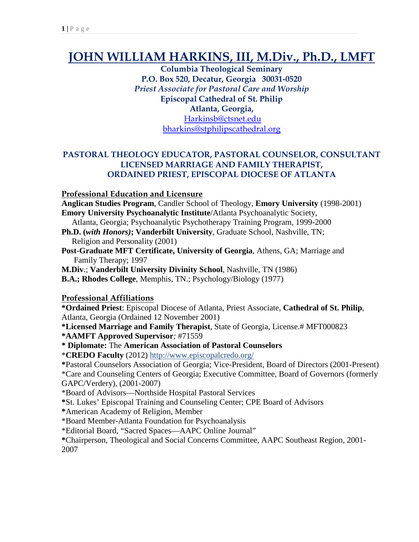## **JOHN WILLIAM HARKINS, III, M.Div., Ph.D., LMFT**

**Columbia Theological Seminary P.O. Box 520, Decatur, Georgia 30031-0520** *Priest Associate for Pastoral Care and Worship* **Episcopal Cathedral of St. Philip Atlanta, Georgia,**  [Harkinsb@ctsnet.edu](mailto:Harkinsb@ctsnet.edu)

[bharkins@stphilipscathedral.org](mailto:bharkins@stphilipscathedral.org)

#### **PASTORAL THEOLOGY EDUCATOR, PASTORAL COUNSELOR, CONSULTANT LICENSED MARRIAGE AND FAMILY THERAPIST, ORDAINED PRIEST, EPISCOPAL DIOCESE OF ATLANTA**

#### **Professional Education and Licensure**

**Anglican Studies Program**, Candler School of Theology, **Emory University** (1998-2001) **Emory University Psychoanalytic Institute**/Atlanta Psychoanalytic Society,

 Atlanta, Georgia; Psychoanalytic Psychotherapy Training Program, 1999-2000 **Ph.D. (***with Honors)***; Vanderbilt University**, Graduate School, Nashville, TN;

Religion and Personality (2001)

**Post-Graduate MFT Certificate, University of Georgia**, Athens, GA; Marriage and Family Therapy; 1997

**M.Div**.; **Vanderbilt University Divinity School**, Nashville, TN (1986)

**B.A.; Rhodes College**, Memphis, TN.; Psychology/Biology (1977)

#### **Professional Affiliations**

**\*Ordained Priest**: Episcopal Diocese of Atlanta, Priest Associate, **Cathedral of St. Philip**, Atlanta, Georgia (Ordained 12 November 2001)

**\*Licensed Marriage and Family Therapist**, State of Georgia, License.# MFT000823

**\*AAMFT Approved Supervisor***;* #71559

**\* Diplomate:** The **American Association of Pastoral Counselors**

\***CREDO Faculty** (2012) http:/[/www.episcopalcredo.org/](http://www.episcopalcredo.org/)

**\***Pastoral Counselors Association of Georgia; Vice-President, Board of Directors (2001-Present) \*Care and Counseling Centers of Georgia; Executive Committee, Board of Governors (formerly GAPC/Verdery), (2001-2007)

\*Board of Advisors—Northside Hospital Pastoral Services

**\***St. Lukes' Episcopal Training and Counseling Center; CPE Board of Advisors

**\***American Academy of Religion, Member

\*Board Member-Atlanta Foundation for Psychoanalysis

\*Editorial Board, "Sacred Spaces—AAPC Online Journal"

**\***Chairperson, Theological and Social Concerns Committee, AAPC Southeast Region, 2001- 2007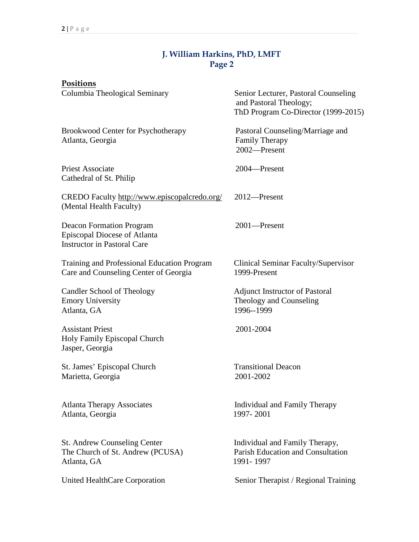#### **J. William Harkins, PhD, LMFT Page 2**

| Positions                                                                                             |                                                                                                       |
|-------------------------------------------------------------------------------------------------------|-------------------------------------------------------------------------------------------------------|
| Columbia Theological Seminary                                                                         | Senior Lecturer, Pastoral Counseling<br>and Pastoral Theology;<br>ThD Program Co-Director (1999-2015) |
| Brookwood Center for Psychotherapy<br>Atlanta, Georgia                                                | Pastoral Counseling/Marriage and<br><b>Family Therapy</b><br>2002-Present                             |
| <b>Priest Associate</b><br>Cathedral of St. Philip                                                    | 2004-Present                                                                                          |
| CREDO Faculty http://www.episcopalcredo.org/<br>(Mental Health Faculty)                               | 2012-Present                                                                                          |
| <b>Deacon Formation Program</b><br>Episcopal Diocese of Atlanta<br><b>Instructor in Pastoral Care</b> | 2001-Present                                                                                          |
| Training and Professional Education Program<br>Care and Counseling Center of Georgia                  | Clinical Seminar Faculty/Supervisor<br>1999-Present                                                   |
| Candler School of Theology<br><b>Emory University</b><br>Atlanta, GA                                  | <b>Adjunct Instructor of Pastoral</b><br>Theology and Counseling<br>1996--1999                        |
| <b>Assistant Priest</b><br>Holy Family Episcopal Church<br>Jasper, Georgia                            | 2001-2004                                                                                             |
| St. James' Episcopal Church<br>Marietta, Georgia                                                      | <b>Transitional Deacon</b><br>2001-2002                                                               |
| <b>Atlanta Therapy Associates</b><br>Atlanta, Georgia                                                 | Individual and Family Therapy<br>1997-2001                                                            |
| St. Andrew Counseling Center<br>The Church of St. Andrew (PCUSA)<br>Atlanta, GA                       | Individual and Family Therapy,<br><b>Parish Education and Consultation</b><br>1991-1997               |
| United HealthCare Corporation                                                                         | Senior Therapist / Regional Training                                                                  |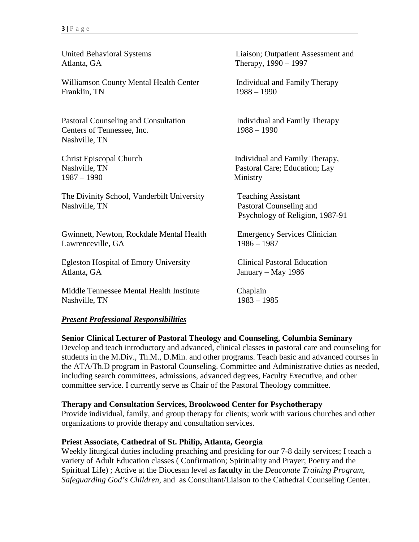Atlanta, GA Therapy, 1990 – 1997

Williamson County Mental Health Center Individual and Family Therapy<br>Franklin. TN 1988 – 1990 Franklin, TN

Pastoral Counseling and Consultation Individual and Family Therapy Centers of Tennessee, Inc. 1988 – 1990 Nashville, TN

1987 – 1990 Ministry

The Divinity School, Vanderbilt University Teaching Assistant Nashville, TN Pastoral Counseling and

Gwinnett, Newton, Rockdale Mental Health Emergency Services Clinician Lawrenceville, GA 1986 – 1987

Egleston Hospital of Emory University Clinical Pastoral Education Atlanta, GA January – May 1986

Middle Tennessee Mental Health Institute Chaplain Nashville, TN 1983 – 1985

United Behavioral Systems Liaison; Outpatient Assessment and

Christ Episcopal Church Individual and Family Therapy, Nashville, TN Pastoral Care; Education; Lay

Psychology of Religion, 1987-91

#### *Present Professional Responsibilities*

**Senior Clinical Lecturer of Pastoral Theology and Counseling, Columbia Seminary**

Develop and teach introductory and advanced, clinical classes in pastoral care and counseling for students in the M.Div., Th.M., D.Min. and other programs. Teach basic and advanced courses in the ATA/Th.D program in Pastoral Counseling. Committee and Administrative duties as needed, including search committees, admissions, advanced degrees, Faculty Executive, and other committee service. I currently serve as Chair of the Pastoral Theology committee.

#### **Therapy and Consultation Services, Brookwood Center for Psychotherapy**

Provide individual, family, and group therapy for clients; work with various churches and other organizations to provide therapy and consultation services.

#### **Priest Associate, Cathedral of St. Philip, Atlanta, Georgia**

Weekly liturgical duties including preaching and presiding for our 7-8 daily services; I teach a variety of Adult Education classes ( Confirmation; Spirituality and Prayer; Poetry and the Spiritual Life) ; Active at the Diocesan level as **faculty** in the *Deaconate Training Program*, *Safeguarding God's Children*, and as Consultant/Liaison to the Cathedral Counseling Center.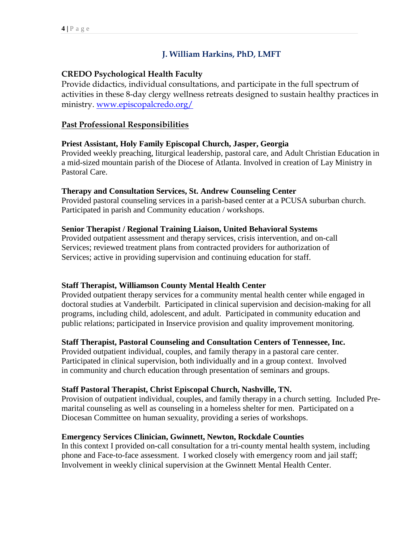#### **J. William Harkins, PhD, LMFT**

#### **CREDO Psychological Health Faculty**

Provide didactics, individual consultations, and participate in the full spectrum of activities in these 8-day clergy wellness retreats designed to sustain healthy practices in ministry. [www.episcopalcredo.org/](http://www.episcopalcredo.org/)

#### **Past Professional Responsibilities**

#### **Priest Assistant, Holy Family Episcopal Church, Jasper, Georgia**

Provided weekly preaching, liturgical leadership, pastoral care, and Adult Christian Education in a mid-sized mountain parish of the Diocese of Atlanta. Involved in creation of Lay Ministry in Pastoral Care.

#### **Therapy and Consultation Services, St. Andrew Counseling Center**

Provided pastoral counseling services in a parish-based center at a PCUSA suburban church. Participated in parish and Community education / workshops.

#### **Senior Therapist / Regional Training Liaison, United Behavioral Systems**

Provided outpatient assessment and therapy services, crisis intervention, and on-call Services; reviewed treatment plans from contracted providers for authorization of Services; active in providing supervision and continuing education for staff.

#### **Staff Therapist, Williamson County Mental Health Center**

Provided outpatient therapy services for a community mental health center while engaged in doctoral studies at Vanderbilt. Participated in clinical supervision and decision-making for all programs, including child, adolescent, and adult. Participated in community education and public relations; participated in Inservice provision and quality improvement monitoring.

#### **Staff Therapist, Pastoral Counseling and Consultation Centers of Tennessee, Inc.**

Provided outpatient individual, couples, and family therapy in a pastoral care center. Participated in clinical supervision, both individually and in a group context. Involved in community and church education through presentation of seminars and groups.

#### **Staff Pastoral Therapist, Christ Episcopal Church, Nashville, TN.**

Provision of outpatient individual, couples, and family therapy in a church setting. Included Premarital counseling as well as counseling in a homeless shelter for men. Participated on a Diocesan Committee on human sexuality, providing a series of workshops.

#### **Emergency Services Clinician, Gwinnett, Newton, Rockdale Counties**

In this context I provided on-call consultation for a tri-county mental health system, including phone and Face-to-face assessment. I worked closely with emergency room and jail staff; Involvement in weekly clinical supervision at the Gwinnett Mental Health Center.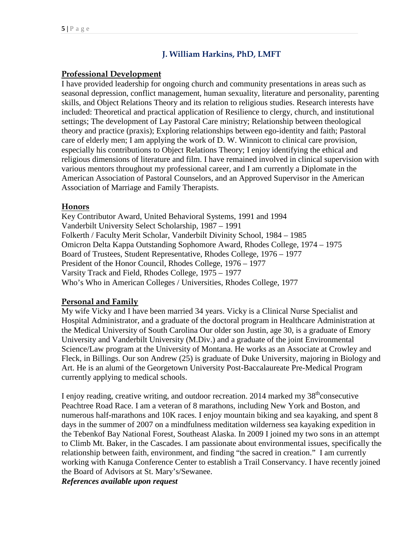#### **J. William Harkins, PhD, LMFT**

#### **Professional Development**

I have provided leadership for ongoing church and community presentations in areas such as seasonal depression, conflict management, human sexuality, literature and personality, parenting skills, and Object Relations Theory and its relation to religious studies. Research interests have included: Theoretical and practical application of Resilience to clergy, church, and institutional settings; The development of Lay Pastoral Care ministry; Relationship between theological theory and practice (praxis); Exploring relationships between ego-identity and faith; Pastoral care of elderly men; I am applying the work of D. W. Winnicott to clinical care provision, especially his contributions to Object Relations Theory; I enjoy identifying the ethical and religious dimensions of literature and film. I have remained involved in clinical supervision with various mentors throughout my professional career, and I am currently a Diplomate in the American Association of Pastoral Counselors, and an Approved Supervisor in the American Association of Marriage and Family Therapists.

#### **Honors**

Key Contributor Award, United Behavioral Systems, 1991 and 1994 Vanderbilt University Select Scholarship, 1987 – 1991 Folkerth / Faculty Merit Scholar, Vanderbilt Divinity School, 1984 – 1985 Omicron Delta Kappa Outstanding Sophomore Award, Rhodes College, 1974 – 1975 Board of Trustees, Student Representative, Rhodes College, 1976 – 1977 President of the Honor Council, Rhodes College, 1976 – 1977 Varsity Track and Field, Rhodes College, 1975 – 1977 Who's Who in American Colleges / Universities, Rhodes College, 1977

#### **Personal and Family**

My wife Vicky and I have been married 34 years. Vicky is a Clinical Nurse Specialist and Hospital Administrator, and a graduate of the doctoral program in Healthcare Administration at the Medical University of South Carolina Our older son Justin, age 30, is a graduate of Emory University and Vanderbilt University (M.Div.) and a graduate of the joint Environmental Science/Law program at the University of Montana. He works as an Associate at Crowley and Fleck, in Billings. Our son Andrew (25) is graduate of Duke University, majoring in Biology and Art. He is an alumi of the Georgetown University Post-Baccalaureate Pre-Medical Program currently applying to medical schools.

I enjoy reading, creative writing, and outdoor recreation. 2014 marked my  $38<sup>th</sup>$ consecutive Peachtree Road Race. I am a veteran of 8 marathons, including New York and Boston, and numerous half-marathons and 10K races. I enjoy mountain biking and sea kayaking, and spent 8 days in the summer of 2007 on a mindfulness meditation wilderness sea kayaking expedition in the Tebenkof Bay National Forest, Southeast Alaska. In 2009 I joined my two sons in an attempt to Climb Mt. Baker, in the Cascades. I am passionate about environmental issues, specifically the relationship between faith, environment, and finding "the sacred in creation." I am currently working with Kanuga Conference Center to establish a Trail Conservancy. I have recently joined the Board of Advisors at St. Mary's/Sewanee.

*References available upon request*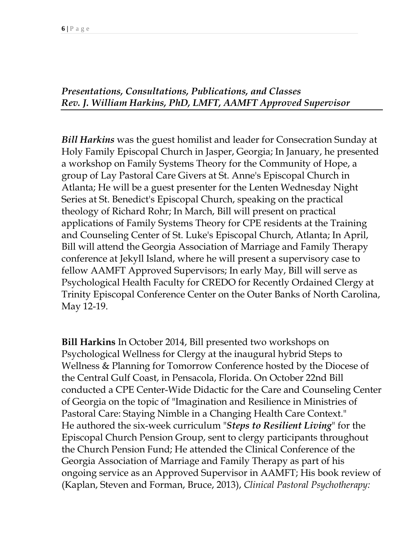#### *Presentations, Consultations, Publications, and Classes Rev. J. William Harkins, PhD, LMFT, AAMFT Approved Supervisor*

*Bill Harkins* was the guest homilist and leader for Consecration Sunday at Holy Family Episcopal Church in Jasper, Georgia; In January, he presented a workshop on Family Systems Theory for the Community of Hope, a group of Lay Pastoral Care Givers at St. Anne's Episcopal Church in Atlanta; He will be a guest presenter for the Lenten Wednesday Night Series at St. Benedict's Episcopal Church, speaking on the practical theology of Richard Rohr; In March, Bill will present on practical applications of Family Systems Theory for CPE residents at the Training and Counseling Center of St. Luke's Episcopal Church, Atlanta; In April, Bill will attend the Georgia Association of Marriage and Family Therapy conference at Jekyll Island, where he will present a supervisory case to fellow AAMFT Approved Supervisors; In early May, Bill will serve as Psychological Health Faculty for CREDO for Recently Ordained Clergy at Trinity Episcopal Conference Center on the Outer Banks of North Carolina, May 12-19.

**Bill Harkins** In October 2014, Bill presented two workshops on Psychological Wellness for Clergy at the inaugural hybrid Steps to Wellness & Planning for Tomorrow Conference hosted by the Diocese of the Central Gulf Coast, in Pensacola, Florida. On October 22nd Bill conducted a CPE Center-Wide Didactic for the Care and Counseling Center of Georgia on the topic of "Imagination and Resilience in Ministries of Pastoral Care: Staying Nimble in a Changing Health Care Context." He authored the six-week curriculum "*Steps to Resilient Living*" for the Episcopal Church Pension Group, sent to clergy participants throughout the Church Pension Fund; He attended the Clinical Conference of the Georgia Association of Marriage and Family Therapy as part of his ongoing service as an Approved Supervisor in AAMFT; His book review of (Kaplan, Steven and Forman, Bruce, 2013), *Clinical Pastoral Psychotherapy:*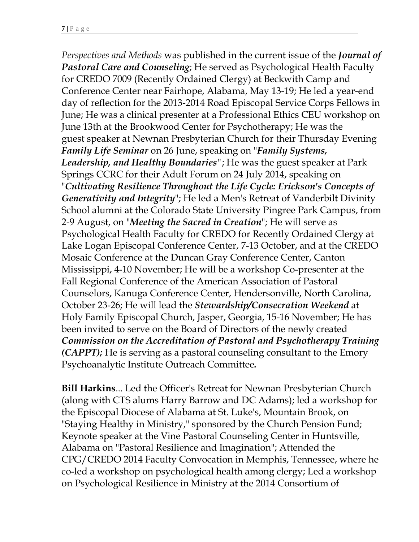*Perspectives and Methods* was published in the current issue of the *Journal of Pastoral Care and Counseling*; He served as Psychological Health Faculty for CREDO 7009 (Recently Ordained Clergy) at Beckwith Camp and Conference Center near Fairhope, Alabama, May 13-19; He led a year-end day of reflection for the 2013-2014 Road Episcopal Service Corps Fellows in June; He was a clinical presenter at a Professional Ethics CEU workshop on June 13th at the Brookwood Center for Psychotherapy; He was the guest speaker at Newnan Presbyterian Church for their Thursday Evening *Family Life Seminar* on 26 June, speaking on "*Family Systems, Leadership, and Healthy Boundaries"*; He was the guest speaker at Park Springs CCRC for their Adult Forum on 24 July 2014, speaking on "*Cultivating Resilience Throughout the Life Cycle: Erickson's Concepts of Generativity and Integrity*"; He led a Men's Retreat of Vanderbilt Divinity School alumni at the Colorado State University Pingree Park Campus, from 2-9 August, on "*Meeting the Sacred in Creation*"; He will serve as Psychological Health Faculty for CREDO for Recently Ordained Clergy at Lake Logan Episcopal Conference Center, 7-13 October, and at the CREDO Mosaic Conference at the Duncan Gray Conference Center, Canton Mississippi, 4-10 November; He will be a workshop Co-presenter at the Fall Regional Conference of the American Association of Pastoral Counselors, Kanuga Conference Center, Hendersonville, North Carolina, October 23-26; He will lead the *Stewardship/Consecration Weekend* at Holy Family Episcopal Church, Jasper, Georgia, 15-16 November; He has been invited to serve on the Board of Directors of the newly created *Commission on the Accreditation of Pastoral and Psychotherapy Training (CAPPT);* He is serving as a pastoral counseling consultant to the Emory Psychoanalytic Institute Outreach Committee*.*

**Bill Harkins**... Led the Officer's Retreat for Newnan Presbyterian Church (along with CTS alums Harry Barrow and DC Adams); led a workshop for the Episcopal Diocese of Alabama at St. Luke's, Mountain Brook, on "Staying Healthy in Ministry," sponsored by the Church Pension Fund; Keynote speaker at the Vine Pastoral Counseling Center in Huntsville, Alabama on "Pastoral Resilience and Imagination"; Attended the CPG/CREDO 2014 Faculty Convocation in Memphis, Tennessee, where he co-led a workshop on psychological health among clergy; Led a workshop on Psychological Resilience in Ministry at the 2014 Consortium of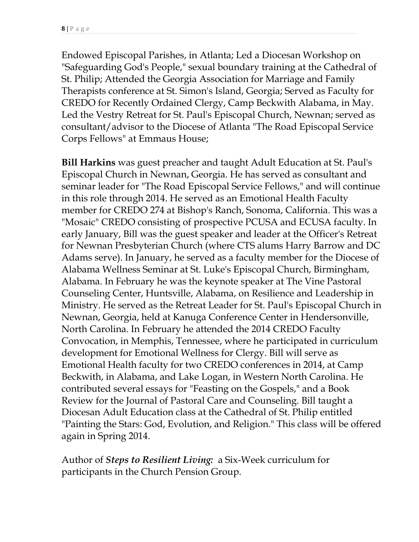Endowed Episcopal Parishes, in Atlanta; Led a Diocesan Workshop on "Safeguarding God's People," sexual boundary training at the Cathedral of St. Philip; Attended the Georgia Association for Marriage and Family Therapists conference at St. Simon's Island, Georgia; Served as Faculty for CREDO for Recently Ordained Clergy, Camp Beckwith Alabama, in May. Led the Vestry Retreat for St. Paul's Episcopal Church, Newnan; served as consultant/advisor to the Diocese of Atlanta "The Road Episcopal Service Corps Fellows" at Emmaus House;

**Bill Harkins** was guest preacher and taught Adult Education at St. Paul's Episcopal Church in Newnan, Georgia. He has served as consultant and seminar leader for "The Road Episcopal Service Fellows," and will continue in this role through 2014. He served as an Emotional Health Faculty member for CREDO 274 at Bishop's Ranch, Sonoma, California. This was a "Mosaic" CREDO consisting of prospective PCUSA and ECUSA faculty. In early January, Bill was the guest speaker and leader at the Officer's Retreat for Newnan Presbyterian Church (where CTS alums Harry Barrow and DC Adams serve). In January, he served as a faculty member for the Diocese of Alabama Wellness Seminar at St. Luke's Episcopal Church, Birmingham, Alabama. In February he was the keynote speaker at The Vine Pastoral Counseling Center, Huntsville, Alabama, on Resilience and Leadership in Ministry. He served as the Retreat Leader for St. Paul's Episcopal Church in Newnan, Georgia, held at Kanuga Conference Center in Hendersonville, North Carolina. In February he attended the 2014 CREDO Faculty Convocation, in Memphis, Tennessee, where he participated in curriculum development for Emotional Wellness for Clergy. Bill will serve as Emotional Health faculty for two CREDO conferences in 2014, at Camp Beckwith, in Alabama, and Lake Logan, in Western North Carolina. He contributed several essays for "Feasting on the Gospels," and a Book Review for the Journal of Pastoral Care and Counseling. Bill taught a Diocesan Adult Education class at the Cathedral of St. Philip entitled "Painting the Stars: God, Evolution, and Religion." This class will be offered again in Spring 2014.

Author of *Steps to Resilient Living:* a Six-Week curriculum for participants in the Church Pension Group.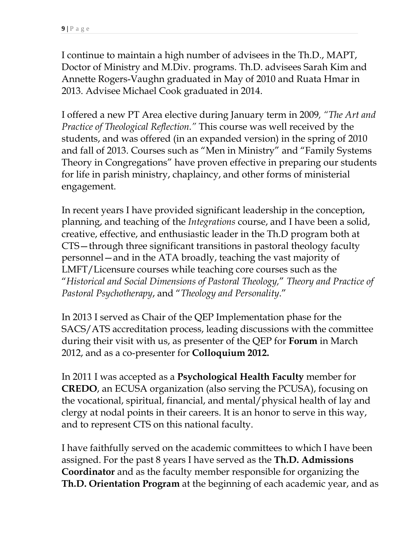I continue to maintain a high number of advisees in the Th.D., MAPT, Doctor of Ministry and M.Div. programs. Th.D. advisees Sarah Kim and Annette Rogers-Vaughn graduated in May of 2010 and Ruata Hmar in 2013. Advisee Michael Cook graduated in 2014.

I offered a new PT Area elective during January term in 2009*, "The Art and Practice of Theological Reflection."* This course was well received by the students, and was offered (in an expanded version) in the spring of 2010 and fall of 2013. Courses such as "Men in Ministry" and "Family Systems Theory in Congregations" have proven effective in preparing our students for life in parish ministry, chaplaincy, and other forms of ministerial engagement.

In recent years I have provided significant leadership in the conception, planning, and teaching of the *Integrations* course, and I have been a solid, creative, effective, and enthusiastic leader in the Th.D program both at CTS—through three significant transitions in pastoral theology faculty personnel—and in the ATA broadly, teaching the vast majority of LMFT/Licensure courses while teaching core courses such as the "*Historical and Social Dimensions of Pastoral Theology,*" *Theory and Practice of Pastoral Psychotherapy*, and "*Theology and Personality*."

In 2013 I served as Chair of the QEP Implementation phase for the SACS/ATS accreditation process, leading discussions with the committee during their visit with us, as presenter of the QEP for **Forum** in March 2012, and as a co-presenter for **Colloquium 2012.**

In 2011 I was accepted as a **Psychological Health Faculty** member for **CREDO**, an ECUSA organization (also serving the PCUSA), focusing on the vocational, spiritual, financial, and mental/physical health of lay and clergy at nodal points in their careers. It is an honor to serve in this way, and to represent CTS on this national faculty.

I have faithfully served on the academic committees to which I have been assigned. For the past 8 years I have served as the **Th.D. Admissions Coordinator** and as the faculty member responsible for organizing the **Th.D. Orientation Program** at the beginning of each academic year, and as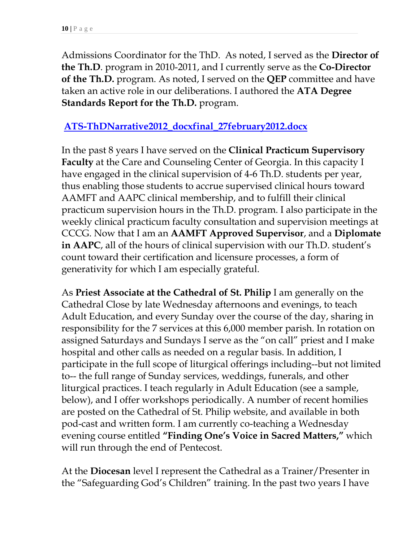Admissions Coordinator for the ThD. As noted, I served as the **Director of the Th.D**. program in 2010-2011, and I currently serve as the **Co-Director of the Th.D.** program. As noted, I served on the **QEP** committee and have taken an active role in our deliberations. I authored the **ATA Degree Standards Report for the Th.D.** program.

#### **[ATS-ThDNarrative2012\\_docxfinal\\_27february2012.docx](file:///C:\Users\thompsonm\AppData\Local\Microsoft\Windows\Temporary%20Internet%20Files\Content.Outlook\AppData\Local\Microsoft\Windows\Temporary%20Internet%20Files\Content.IE5\AppData\Local\Microsoft\Windows\Temporary%20Internet%20Files\Content.IE5\I4002XMY\ATS-ThDNarrative2012_docxfinal_27february2012.docx)**

In the past 8 years I have served on the **Clinical Practicum Supervisory Faculty** at the Care and Counseling Center of Georgia. In this capacity I have engaged in the clinical supervision of 4-6 Th.D. students per year, thus enabling those students to accrue supervised clinical hours toward AAMFT and AAPC clinical membership, and to fulfill their clinical practicum supervision hours in the Th.D. program. I also participate in the weekly clinical practicum faculty consultation and supervision meetings at CCCG. Now that I am an **AAMFT Approved Supervisor**, and a **Diplomate in AAPC**, all of the hours of clinical supervision with our Th.D. student's count toward their certification and licensure processes, a form of generativity for which I am especially grateful.

As **Priest Associate at the Cathedral of St. Philip** I am generally on the Cathedral Close by late Wednesday afternoons and evenings, to teach Adult Education, and every Sunday over the course of the day, sharing in responsibility for the 7 services at this 6,000 member parish. In rotation on assigned Saturdays and Sundays I serve as the "on call" priest and I make hospital and other calls as needed on a regular basis. In addition, I participate in the full scope of liturgical offerings including--but not limited to-- the full range of Sunday services, weddings, funerals, and other liturgical practices. I teach regularly in Adult Education (see a sample, below), and I offer workshops periodically. A number of recent homilies are posted on the Cathedral of St. Philip website, and available in both pod-cast and written form. I am currently co-teaching a Wednesday evening course entitled **"Finding One's Voice in Sacred Matters,"** which will run through the end of Pentecost.

At the **Diocesan** level I represent the Cathedral as a Trainer/Presenter in the "Safeguarding God's Children" training. In the past two years I have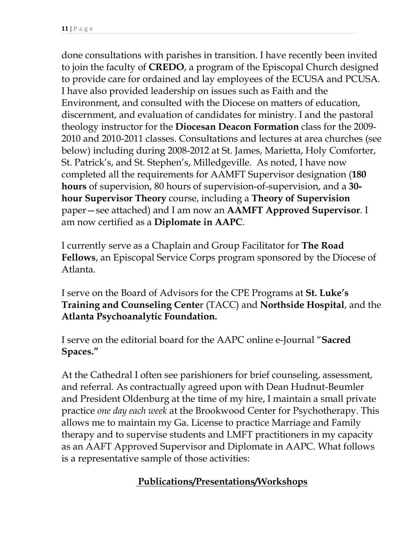done consultations with parishes in transition. I have recently been invited to join the faculty of **CREDO**, a program of the Episcopal Church designed to provide care for ordained and lay employees of the ECUSA and PCUSA. I have also provided leadership on issues such as Faith and the Environment, and consulted with the Diocese on matters of education, discernment, and evaluation of candidates for ministry. I and the pastoral theology instructor for the **Diocesan Deacon Formation** class for the 2009- 2010 and 2010-2011 classes. Consultations and lectures at area churches (see below) including during 2008-2012 at St. James, Marietta, Holy Comforter, St. Patrick's, and St. Stephen's, Milledgeville. As noted, I have now completed all the requirements for AAMFT Supervisor designation (**180 hours** of supervision, 80 hours of supervision-of-supervision, and a **30 hour Supervisor Theory** course, including a **Theory of Supervision** paper—see attached) and I am now an **AAMFT Approved Supervisor**. I am now certified as a **Diplomate in AAPC**.

I currently serve as a Chaplain and Group Facilitator for **The Road Fellows**, an Episcopal Service Corps program sponsored by the Diocese of Atlanta.

I serve on the Board of Advisors for the CPE Programs at **St. Luke's Training and Counseling Cente**r (TACC) and **Northside Hospital**, and the **Atlanta Psychoanalytic Foundation.**

I serve on the editorial board for the AAPC online e-Journal "**Sacred Spaces."**

At the Cathedral I often see parishioners for brief counseling, assessment, and referral. As contractually agreed upon with Dean Hudnut-Beumler and President Oldenburg at the time of my hire, I maintain a small private practice *one day each week* at the Brookwood Center for Psychotherapy. This allows me to maintain my Ga. License to practice Marriage and Family therapy and to supervise students and LMFT practitioners in my capacity as an AAFT Approved Supervisor and Diplomate in AAPC. What follows is a representative sample of those activities:

### **Publications/Presentations/Workshops**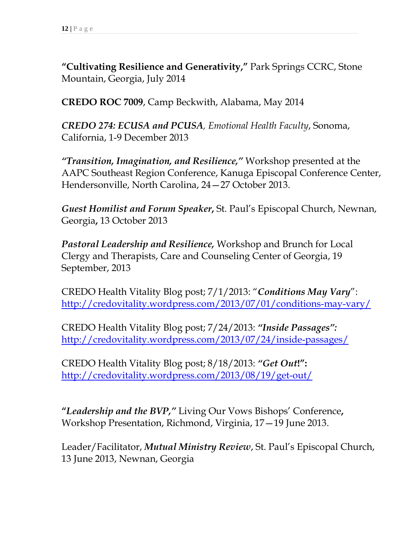**"Cultivating Resilience and Generativity,"** Park Springs CCRC, Stone Mountain, Georgia, July 2014

**CREDO ROC 7009**, Camp Beckwith, Alabama, May 2014

*CREDO 274: ECUSA and PCUSA, Emotional Health Faculty*, Sonoma, California, 1-9 December 2013

*"Transition, Imagination, and Resilience,"* Workshop presented at the AAPC Southeast Region Conference, Kanuga Episcopal Conference Center, Hendersonville, North Carolina, 24—27 October 2013.

*Guest Homilist and Forum Speaker***,** St. Paul's Episcopal Church, Newnan, Georgia**,** 13 October 2013

*Pastoral Leadership and Resilience,* Workshop and Brunch for Local Clergy and Therapists, Care and Counseling Center of Georgia, 19 September, 2013

CREDO Health Vitality Blog post; 7/1/2013: "*Conditions May Vary*": <http://credovitality.wordpress.com/2013/07/01/conditions-may-vary/>

CREDO Health Vitality Blog post; 7/24/2013: *"Inside Passages":*  <http://credovitality.wordpress.com/2013/07/24/inside-passages/>

CREDO Health Vitality Blog post; 8/18/2013: *"Get Out***!":** <http://credovitality.wordpress.com/2013/08/19/get-out/>

**"***Leadership and the BVP,"* Living Our Vows Bishops' Conference**,** Workshop Presentation, Richmond, Virginia, 17—19 June 2013.

Leader/Facilitator, *Mutual Ministry Review*, St. Paul's Episcopal Church, 13 June 2013, Newnan, Georgia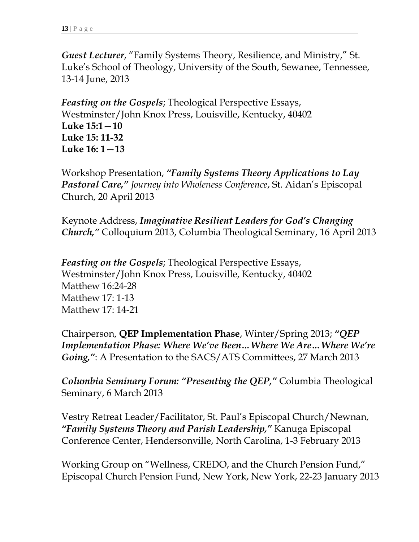*Guest Lecturer*, "Family Systems Theory, Resilience, and Ministry," St. Luke's School of Theology, University of the South, Sewanee, Tennessee, 13-14 June, 2013

*Feasting on the Gospels*; Theological Perspective Essays, Westminster/John Knox Press, Louisville, Kentucky, 40402 **Luke 15:1—10 Luke 15: 11-32 Luke 16: 1—13** 

Workshop Presentation, *"Family Systems Theory Applications to Lay Pastoral Care," Journey into Wholeness Conference*, St. Aidan's Episcopal Church, 20 April 2013

Keynote Address, *Imaginative Resilient Leaders for God's Changing Church,"* Colloquium 2013, Columbia Theological Seminary, 16 April 2013

*Feasting on the Gospels*; Theological Perspective Essays, Westminster/John Knox Press, Louisville, Kentucky, 40402 Matthew 16:24-28 Matthew 17: 1-13 Matthew 17: 14-21

Chairperson, **QEP Implementation Phase**, Winter/Spring 2013; *"QEP Implementation Phase: Where We've Been…Where We Are…Where We're Going,"*: A Presentation to the SACS/ATS Committees, 27 March 2013

*Columbia Seminary Forum: "Presenting the QEP,"* Columbia Theological Seminary, 6 March 2013

Vestry Retreat Leader/Facilitator, St. Paul's Episcopal Church/Newnan, *"Family Systems Theory and Parish Leadership,"* Kanuga Episcopal Conference Center, Hendersonville, North Carolina, 1-3 February 2013

Working Group on "Wellness, CREDO, and the Church Pension Fund," Episcopal Church Pension Fund, New York, New York, 22-23 January 2013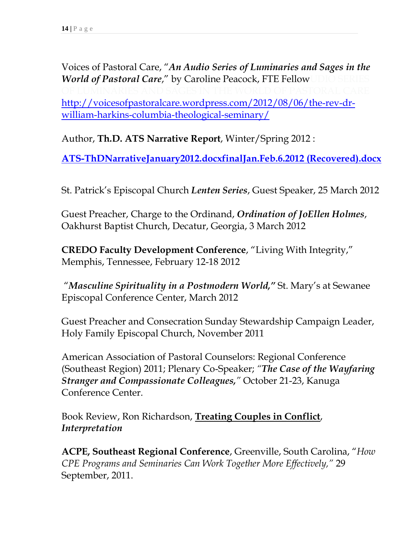Voices of Pastoral Care, "*An Audio Series of Luminaries and Sages in the World of Pastoral Care,"* by Caroline Peacock, FTE Fellow [http://voicesofpastoralcare.wordpress.com/2012/08/06/the-rev-dr](http://voicesofpastoralcare.wordpress.com/2012/08/06/the-rev-dr-william-harkins-columbia-theological-seminary/)[william-harkins-columbia-theological-seminary/](http://voicesofpastoralcare.wordpress.com/2012/08/06/the-rev-dr-william-harkins-columbia-theological-seminary/)

Author, **Th.D. ATS Narrative Report**, Winter/Spring 2012 :

**[ATS-ThDNarrativeJanuary2012.docxfinalJan.Feb.6.2012 \(Recovered\).docx](file:///C:\Users\thompsonm\AppData\Local\Microsoft\Windows\Temporary%20Internet%20Files\Content.Outlook\AppData\Local\Microsoft\Windows\Temporary%20Internet%20Files\Content.IE5\AppData\Local\Microsoft\Windows\Temporary%20Internet%20Files\Content.IE5\AppData\Local\Microsoft\Windows\Temporary%20Internet%20Files\Content.IE5\I4002XMY\ATS-ThDNarrativeJanuary2012.docxfinalJan.Feb.6.2012%20(Recovered).docx)**

St. Patrick's Episcopal Church *Lenten Series*, Guest Speaker, 25 March 2012

Guest Preacher, Charge to the Ordinand, *Ordination of JoEllen Holmes*, Oakhurst Baptist Church, Decatur, Georgia, 3 March 2012

**CREDO Faculty Development Conference**, "Living With Integrity," Memphis, Tennessee, February 12-18 2012

"*Masculine Spirituality in a Postmodern World,"* St. Mary's at Sewanee Episcopal Conference Center, March 2012

Guest Preacher and Consecration Sunday Stewardship Campaign Leader, Holy Family Episcopal Church, November 2011

American Association of Pastoral Counselors: Regional Conference (Southeast Region) 2011; Plenary Co-Speaker; *"The Case of the Wayfaring Stranger and Compassionate Colleagues,"* October 21-23, Kanuga Conference Center.

Book Review, Ron Richardson, **Treating Couples in Conflict**, *Interpretation* 

**ACPE, Southeast Regional Conference**, Greenville, South Carolina, "*How CPE Programs and Seminaries Can Work Together More Effectively,"* 29 September, 2011.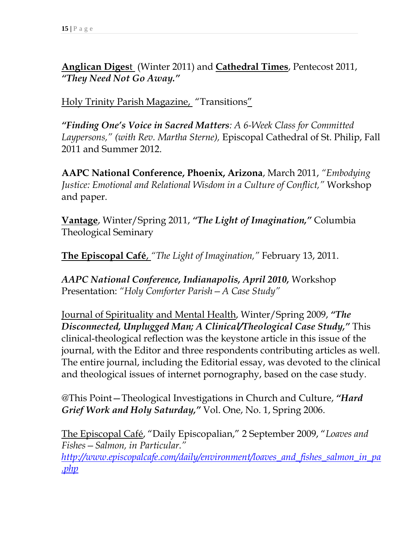**Anglican Diges**t (Winter 2011) and **Cathedral Times**, Pentecost 2011, *"They Need Not Go Away."*

Holy Trinity Parish Magazine, "Transitions"

*"Finding One's Voice in Sacred Matters: A 6-Week Class for Committed Laypersons," (with Rev. Martha Sterne),* Episcopal Cathedral of St. Philip, Fall 2011 and Summer 2012.

**AAPC National Conference, Phoenix, Arizona**, March 2011, *"Embodying Justice: Emotional and Relational Wisdom in a Culture of Conflict,"* Workshop and paper.

**Vantage**, Winter/Spring 2011, *"The Light of Imagination,"* Columbia Theological Seminary

**The Episcopal Café**, *"The Light of Imagination,"* February 13, 2011.

*AAPC National Conference, Indianapolis, April 2010,* Workshop Presentation: *"Holy Comforter Parish—A Case Study"*

Journal of Spirituality and Mental Health, Winter/Spring 2009, *"The Disconnected, Unplugged Man; A Clinical/Theological Case Study,"* This clinical-theological reflection was the keystone article in this issue of the journal, with the Editor and three respondents contributing articles as well. The entire journal, including the Editorial essay, was devoted to the clinical and theological issues of internet pornography, based on the case study.

@This Point—Theological Investigations in Church and Culture, *"Hard Grief Work and Holy Saturday,"* Vol. One, No. 1, Spring 2006.

The Episcopal Café, "Daily Episcopalian," 2 September 2009, "*Loaves and Fishes—Salmon, in Particular." [http://www.episcopalcafe.com/daily/environment/loaves\\_and\\_fishes\\_salmon\\_in\\_pa](http://www.episcopalcafe.com/daily/environment/loaves_and_fishes_salmon_in_pa.php) [.php](http://www.episcopalcafe.com/daily/environment/loaves_and_fishes_salmon_in_pa.php)*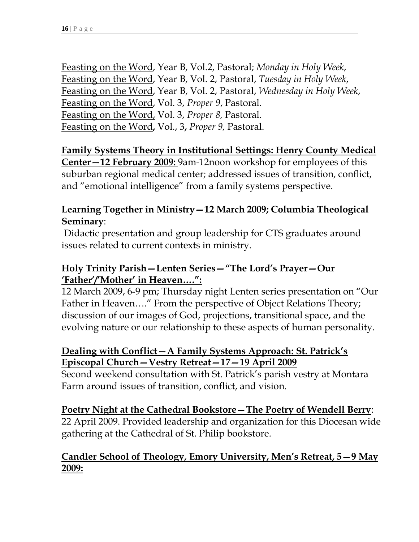Feasting on the Word, Year B, Vol.2, Pastoral; *Monday in Holy Week*, Feasting on the Word, Year B, Vol. 2, Pastoral, *Tuesday in Holy Week*, Feasting on the Word, Year B, Vol. 2, Pastoral, *Wednesday in Holy Week*, Feasting on the Word, Vol. 3, *Proper 9*, Pastoral. Feasting on the Word, Vol. 3, *Proper 8,* Pastoral. Feasting on the Word**,** Vol., 3**,** *Proper 9,* Pastoral.

#### **Family Systems Theory in Institutional Settings: Henry County Medical Center—12 February 2009:** 9am-12noon workshop for employees of this suburban regional medical center; addressed issues of transition, conflict, and "emotional intelligence" from a family systems perspective.

#### **Learning Together in Ministry—12 March 2009; Columbia Theological Seminary**:

Didactic presentation and group leadership for CTS graduates around issues related to current contexts in ministry.

#### **Holy Trinity Parish—Lenten Series—"The Lord's Prayer—Our 'Father'/'Mother' in Heaven….":**

12 March 2009, 6-9 pm; Thursday night Lenten series presentation on "Our Father in Heaven…." From the perspective of Object Relations Theory; discussion of our images of God, projections, transitional space, and the evolving nature or our relationship to these aspects of human personality.

#### **Dealing with Conflict—A Family Systems Approach: St. Patrick's Episcopal Church—Vestry Retreat—17—19 April 2009**

Second weekend consultation with St. Patrick's parish vestry at Montara Farm around issues of transition, conflict, and vision.

#### **Poetry Night at the Cathedral Bookstore—The Poetry of Wendell Berry**:

22 April 2009. Provided leadership and organization for this Diocesan wide gathering at the Cathedral of St. Philip bookstore.

#### **Candler School of Theology, Emory University, Men's Retreat, 5—9 May 2009:**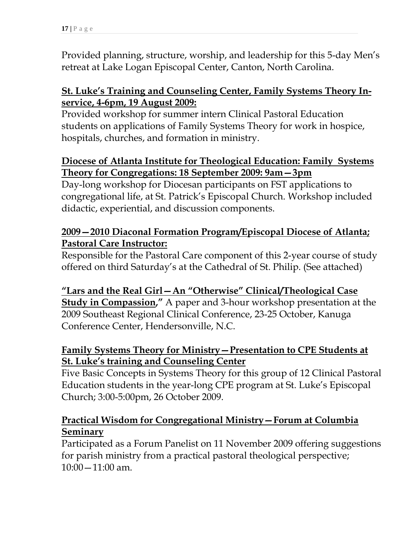Provided planning, structure, worship, and leadership for this 5-day Men's retreat at Lake Logan Episcopal Center, Canton, North Carolina.

#### **St. Luke's Training and Counseling Center, Family Systems Theory Inservice, 4-6pm, 19 August 2009:**

Provided workshop for summer intern Clinical Pastoral Education students on applications of Family Systems Theory for work in hospice, hospitals, churches, and formation in ministry.

### **Diocese of Atlanta Institute for Theological Education: Family Systems Theory for Congregations: 18 September 2009: 9am—3pm**

Day-long workshop for Diocesan participants on FST applications to congregational life, at St. Patrick's Episcopal Church. Workshop included didactic, experiential, and discussion components.

### **2009—2010 Diaconal Formation Program/Episcopal Diocese of Atlanta; Pastoral Care Instructor:**

Responsible for the Pastoral Care component of this 2-year course of study offered on third Saturday's at the Cathedral of St. Philip. (See attached)

# **"Lars and the Real Girl—An "Otherwise" Clinical/Theological Case**

**Study in Compassion,"** A paper and 3-hour workshop presentation at the 2009 Southeast Regional Clinical Conference, 23-25 October, Kanuga Conference Center, Hendersonville, N.C.

### **Family Systems Theory for Ministry—Presentation to CPE Students at St. Luke's training and Counseling Center**

Five Basic Concepts in Systems Theory for this group of 12 Clinical Pastoral Education students in the year-long CPE program at St. Luke's Episcopal Church; 3:00-5:00pm, 26 October 2009.

#### **Practical Wisdom for Congregational Ministry—Forum at Columbia Seminary**

Participated as a Forum Panelist on 11 November 2009 offering suggestions for parish ministry from a practical pastoral theological perspective;  $10:00 - 11:00$  am.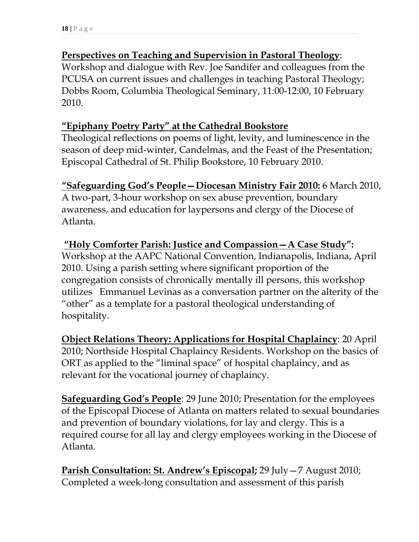#### **Perspectives on Teaching and Supervision in Pastoral Theology**:

Workshop and dialogue with Rev. Joe Sandifer and colleagues from the PCUSA on current issues and challenges in teaching Pastoral Theology; Dobbs Room, Columbia Theological Seminary, 11:00-12:00, 10 February 2010.

#### **"Epiphany Poetry Party" at the Cathedral Bookstore**

Theological reflections on poems of light, levity, and luminescence in the season of deep mid-winter, Candelmas, and the Feast of the Presentation; Episcopal Cathedral of St. Philip Bookstore, 10 February 2010.

### **"Safeguarding God's People—Diocesan Ministry Fair 2010:** 6 March 2010,

A two-part, 3-hour workshop on sex abuse prevention, boundary awareness, and education for laypersons and clergy of the Diocese of Atlanta.

### **"Holy Comforter Parish: Justice and Compassion—A Case Study":**  Workshop at the AAPC National Convention, Indianapolis, Indiana, April 2010. Using a parish setting where significant proportion of the congregation consists of chronically mentally ill persons, this workshop utilizes Emmanuel Levinas as a conversation partner on the alterity of the "other" as a template for a pastoral theological understanding of hospitality.

**Object Relations Theory: Applications for Hospital Chaplaincy**: 20 April 2010; Northside Hospital Chaplaincy Residents. Workshop on the basics of ORT as applied to the "liminal space" of hospital chaplaincy, and as relevant for the vocational journey of chaplaincy.

**Safeguarding God's People**: 29 June 2010; Presentation for the employees of the Episcopal Diocese of Atlanta on matters related to sexual boundaries and prevention of boundary violations, for lay and clergy. This is a required course for all lay and clergy employees working in the Diocese of Atlanta.

**Parish Consultation: St. Andrew's Episcopal;** 29 July—7 August 2010; Completed a week-long consultation and assessment of this parish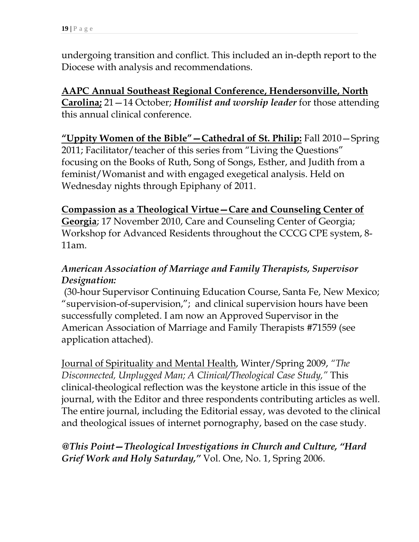undergoing transition and conflict. This included an in-depth report to the Diocese with analysis and recommendations.

**AAPC Annual Southeast Regional Conference, Hendersonville, North Carolina;** 21—14 October; *Homilist and worship leader* for those attending this annual clinical conference.

**"Uppity Women of the Bible"—Cathedral of St. Philip:** Fall 2010—Spring 2011; Facilitator/teacher of this series from "Living the Questions" focusing on the Books of Ruth, Song of Songs, Esther, and Judith from a feminist/Womanist and with engaged exegetical analysis. Held on Wednesday nights through Epiphany of 2011.

**Compassion as a Theological Virtue—Care and Counseling Center of Georgia**; 17 November 2010, Care and Counseling Center of Georgia; Workshop for Advanced Residents throughout the CCCG CPE system, 8- 11am.

### *American Association of Marriage and Family Therapists, Supervisor Designation:*

(30-hour Supervisor Continuing Education Course, Santa Fe, New Mexico; "supervision-of-supervision,"; and clinical supervision hours have been successfully completed. I am now an Approved Supervisor in the American Association of Marriage and Family Therapists #71559 (see application attached).

Journal of Spirituality and Mental Health, Winter/Spring 2009, *"The Disconnected, Unplugged Man; A Clinical/Theological Case Study,"* This clinical-theological reflection was the keystone article in this issue of the journal, with the Editor and three respondents contributing articles as well. The entire journal, including the Editorial essay, was devoted to the clinical and theological issues of internet pornography, based on the case study.

### *@This Point—Theological Investigations in Church and Culture, "Hard Grief Work and Holy Saturday,"* Vol. One, No. 1, Spring 2006.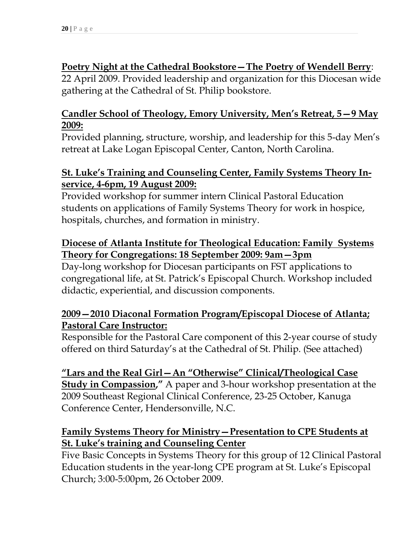### **Poetry Night at the Cathedral Bookstore—The Poetry of Wendell Berry**:

22 April 2009. Provided leadership and organization for this Diocesan wide gathering at the Cathedral of St. Philip bookstore.

### **Candler School of Theology, Emory University, Men's Retreat, 5—9 May 2009:**

Provided planning, structure, worship, and leadership for this 5-day Men's retreat at Lake Logan Episcopal Center, Canton, North Carolina.

#### **St. Luke's Training and Counseling Center, Family Systems Theory Inservice, 4-6pm, 19 August 2009:**

Provided workshop for summer intern Clinical Pastoral Education students on applications of Family Systems Theory for work in hospice, hospitals, churches, and formation in ministry.

### **Diocese of Atlanta Institute for Theological Education: Family Systems Theory for Congregations: 18 September 2009: 9am—3pm**

Day-long workshop for Diocesan participants on FST applications to congregational life, at St. Patrick's Episcopal Church. Workshop included didactic, experiential, and discussion components.

#### **2009—2010 Diaconal Formation Program/Episcopal Diocese of Atlanta; Pastoral Care Instructor:**

Responsible for the Pastoral Care component of this 2-year course of study offered on third Saturday's at the Cathedral of St. Philip. (See attached)

**"Lars and the Real Girl—An "Otherwise" Clinical/Theological Case Study in Compassion,"** A paper and 3-hour workshop presentation at the 2009 Southeast Regional Clinical Conference, 23-25 October, Kanuga Conference Center, Hendersonville, N.C.

### **Family Systems Theory for Ministry—Presentation to CPE Students at St. Luke's training and Counseling Center**

Five Basic Concepts in Systems Theory for this group of 12 Clinical Pastoral Education students in the year-long CPE program at St. Luke's Episcopal Church; 3:00-5:00pm, 26 October 2009.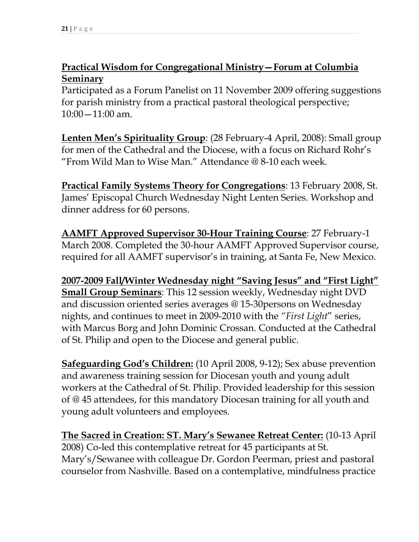### **Practical Wisdom for Congregational Ministry—Forum at Columbia Seminary**

Participated as a Forum Panelist on 11 November 2009 offering suggestions for parish ministry from a practical pastoral theological perspective;  $10:00 - 11:00$  am.

**Lenten Men's Spirituality Group**: (28 February-4 April, 2008): Small group for men of the Cathedral and the Diocese, with a focus on Richard Rohr's "From Wild Man to Wise Man." Attendance @ 8-10 each week.

**Practical Family Systems Theory for Congregations**: 13 February 2008, St. James' Episcopal Church Wednesday Night Lenten Series. Workshop and dinner address for 60 persons.

**AAMFT Approved Supervisor 30-Hour Training Course**: 27 February-1 March 2008. Completed the 30-hour AAMFT Approved Supervisor course, required for all AAMFT supervisor's in training, at Santa Fe, New Mexico.

**2007-2009 Fall/Winter Wednesday night "Saving Jesus" and "First Light" Small Group Seminars**: This 12 session weekly, Wednesday night DVD and discussion oriented series averages @ 15-30persons on Wednesday nights, and continues to meet in 2009-2010 with the *"First Light*" series, with Marcus Borg and John Dominic Crossan. Conducted at the Cathedral of St. Philip and open to the Diocese and general public.

**Safeguarding God's Children:** (10 April 2008, 9-12); Sex abuse prevention and awareness training session for Diocesan youth and young adult workers at the Cathedral of St. Philip. Provided leadership for this session of @ 45 attendees, for this mandatory Diocesan training for all youth and young adult volunteers and employees.

**The Sacred in Creation: ST. Mary's Sewanee Retreat Center:** (10-13 April 2008) Co-led this contemplative retreat for 45 participants at St. Mary's/Sewanee with colleague Dr. Gordon Peerman, priest and pastoral counselor from Nashville. Based on a contemplative, mindfulness practice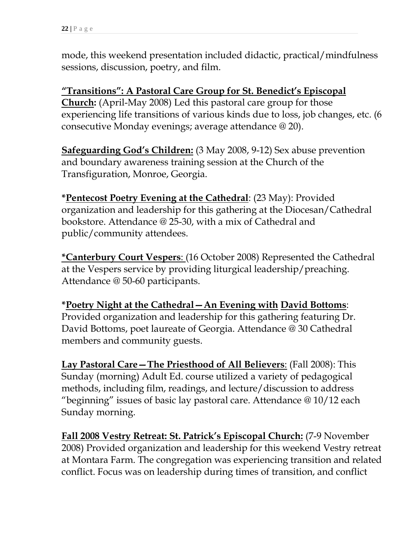mode, this weekend presentation included didactic, practical/mindfulness sessions, discussion, poetry, and film.

**"Transitions": A Pastoral Care Group for St. Benedict's Episcopal Church:** (April-May 2008) Led this pastoral care group for those experiencing life transitions of various kinds due to loss, job changes, etc. (6 consecutive Monday evenings; average attendance @ 20).

**Safeguarding God's Children:** (3 May 2008, 9-12) Sex abuse prevention and boundary awareness training session at the Church of the Transfiguration, Monroe, Georgia.

**\*Pentecost Poetry Evening at the Cathedral**: (23 May): Provided organization and leadership for this gathering at the Diocesan/Cathedral bookstore. Attendance @ 25-30, with a mix of Cathedral and public/community attendees.

**\*Canterbury Court Vespers**: (16 October 2008) Represented the Cathedral at the Vespers service by providing liturgical leadership/preaching. Attendance @ 50-60 participants.

**\*Poetry Night at the Cathedral—An Evening with David Bottoms**: Provided organization and leadership for this gathering featuring Dr. David Bottoms, poet laureate of Georgia. Attendance @ 30 Cathedral members and community guests.

**Lay Pastoral Care—The Priesthood of All Believers**: (Fall 2008): This Sunday (morning) Adult Ed. course utilized a variety of pedagogical methods, including film, readings, and lecture/discussion to address "beginning" issues of basic lay pastoral care. Attendance @ 10/12 each Sunday morning.

**Fall 2008 Vestry Retreat: St. Patrick's Episcopal Church:** (7-9 November 2008) Provided organization and leadership for this weekend Vestry retreat at Montara Farm. The congregation was experiencing transition and related conflict. Focus was on leadership during times of transition, and conflict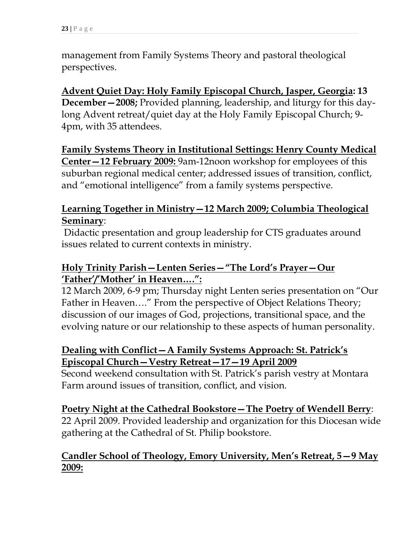management from Family Systems Theory and pastoral theological perspectives.

**Advent Quiet Day: Holy Family Episcopal Church, Jasper, Georgia: 13 December—2008;** Provided planning, leadership, and liturgy for this daylong Advent retreat/quiet day at the Holy Family Episcopal Church; 9- 4pm, with 35 attendees.

**Family Systems Theory in Institutional Settings: Henry County Medical Center—12 February 2009:** 9am-12noon workshop for employees of this suburban regional medical center; addressed issues of transition, conflict, and "emotional intelligence" from a family systems perspective.

### **Learning Together in Ministry—12 March 2009; Columbia Theological Seminary**:

Didactic presentation and group leadership for CTS graduates around issues related to current contexts in ministry.

#### **Holy Trinity Parish—Lenten Series—"The Lord's Prayer—Our 'Father'/'Mother' in Heaven….":**

12 March 2009, 6-9 pm; Thursday night Lenten series presentation on "Our Father in Heaven…." From the perspective of Object Relations Theory; discussion of our images of God, projections, transitional space, and the evolving nature or our relationship to these aspects of human personality.

### **Dealing with Conflict—A Family Systems Approach: St. Patrick's Episcopal Church—Vestry Retreat—17—19 April 2009**

Second weekend consultation with St. Patrick's parish vestry at Montara Farm around issues of transition, conflict, and vision.

#### **Poetry Night at the Cathedral Bookstore—The Poetry of Wendell Berry**:

22 April 2009. Provided leadership and organization for this Diocesan wide gathering at the Cathedral of St. Philip bookstore.

### **Candler School of Theology, Emory University, Men's Retreat, 5—9 May 2009:**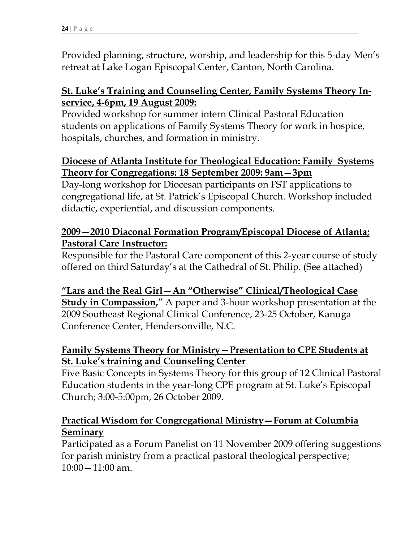Provided planning, structure, worship, and leadership for this 5-day Men's retreat at Lake Logan Episcopal Center, Canton, North Carolina.

### **St. Luke's Training and Counseling Center, Family Systems Theory Inservice, 4-6pm, 19 August 2009:**

Provided workshop for summer intern Clinical Pastoral Education students on applications of Family Systems Theory for work in hospice, hospitals, churches, and formation in ministry.

### **Diocese of Atlanta Institute for Theological Education: Family Systems Theory for Congregations: 18 September 2009: 9am—3pm**

Day-long workshop for Diocesan participants on FST applications to congregational life, at St. Patrick's Episcopal Church. Workshop included didactic, experiential, and discussion components.

### **2009—2010 Diaconal Formation Program/Episcopal Diocese of Atlanta; Pastoral Care Instructor:**

Responsible for the Pastoral Care component of this 2-year course of study offered on third Saturday's at the Cathedral of St. Philip. (See attached)

#### **"Lars and the Real Girl—An "Otherwise" Clinical/Theological Case Study in Compassion,"** A paper and 3-hour workshop presentation at the

2009 Southeast Regional Clinical Conference, 23-25 October, Kanuga Conference Center, Hendersonville, N.C.

### **Family Systems Theory for Ministry—Presentation to CPE Students at St. Luke's training and Counseling Center**

Five Basic Concepts in Systems Theory for this group of 12 Clinical Pastoral Education students in the year-long CPE program at St. Luke's Episcopal Church; 3:00-5:00pm, 26 October 2009.

### **Practical Wisdom for Congregational Ministry—Forum at Columbia Seminary**

Participated as a Forum Panelist on 11 November 2009 offering suggestions for parish ministry from a practical pastoral theological perspective;  $10:00 - 11:00$  am.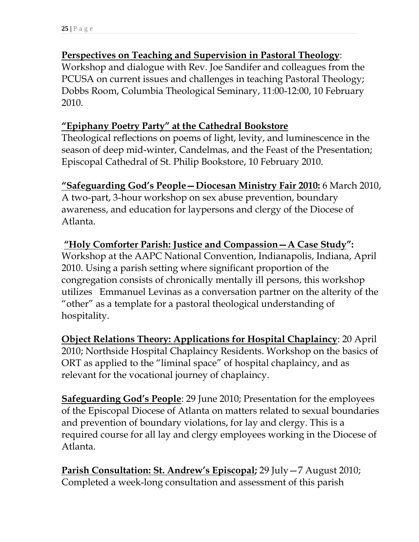### **Perspectives on Teaching and Supervision in Pastoral Theology**:

Workshop and dialogue with Rev. Joe Sandifer and colleagues from the PCUSA on current issues and challenges in teaching Pastoral Theology; Dobbs Room, Columbia Theological Seminary, 11:00-12:00, 10 February 2010.

### **"Epiphany Poetry Party" at the Cathedral Bookstore**

Theological reflections on poems of light, levity, and luminescence in the season of deep mid-winter, Candelmas, and the Feast of the Presentation; Episcopal Cathedral of St. Philip Bookstore, 10 February 2010.

### **"Safeguarding God's People—Diocesan Ministry Fair 2010:** 6 March 2010,

A two-part, 3-hour workshop on sex abuse prevention, boundary awareness, and education for laypersons and clergy of the Diocese of Atlanta.

### **"Holy Comforter Parish: Justice and Compassion—A Case Study":**  Workshop at the AAPC National Convention, Indianapolis, Indiana, April 2010. Using a parish setting where significant proportion of the congregation consists of chronically mentally ill persons, this workshop utilizes Emmanuel Levinas as a conversation partner on the alterity of the "other" as a template for a pastoral theological understanding of hospitality.

**Object Relations Theory: Applications for Hospital Chaplaincy**: 20 April 2010; Northside Hospital Chaplaincy Residents. Workshop on the basics of ORT as applied to the "liminal space" of hospital chaplaincy, and as relevant for the vocational journey of chaplaincy.

**Safeguarding God's People**: 29 June 2010; Presentation for the employees of the Episcopal Diocese of Atlanta on matters related to sexual boundaries and prevention of boundary violations, for lay and clergy. This is a required course for all lay and clergy employees working in the Diocese of Atlanta.

**Parish Consultation: St. Andrew's Episcopal;** 29 July—7 August 2010; Completed a week-long consultation and assessment of this parish